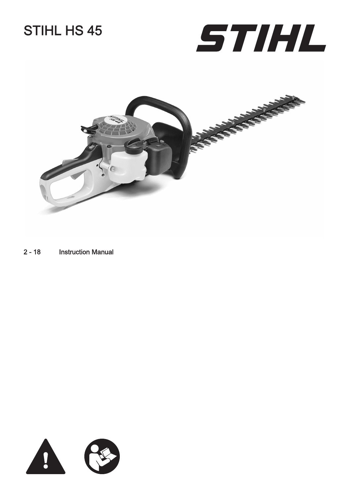# STIHL HS 45





[2](#page-1-0) - [18](#page-17-0) Instruction Manual

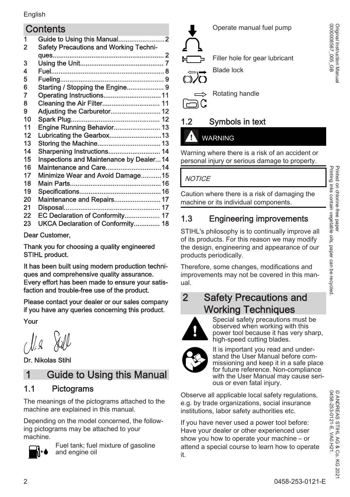#### <span id="page-1-0"></span>**Contents**

| 1  |                                               |
|----|-----------------------------------------------|
| 2  | <b>Safety Precautions and Working Techni-</b> |
|    |                                               |
| 3  |                                               |
| 4  |                                               |
| 5  |                                               |
| 6  | Starting / Stopping the Engine 9              |
| 7  |                                               |
| 8  |                                               |
| 9  | Adjusting the Carburetor 12                   |
| 10 |                                               |
| 11 | Engine Running Behavior 13                    |
| 12 | Lubricating the Gearbox13                     |
| 13 | Storing the Machine 13                        |
| 14 | Sharpening Instructions 14                    |
| 15 | Inspections and Maintenance by Dealer14       |
| 16 | Maintenance and Care14                        |
| 17 | Minimize Wear and Avoid Damage15              |
| 18 |                                               |
| 19 |                                               |
| 20 | Maintenance and Repairs 17                    |
| 21 |                                               |
| 22 | EC Declaration of Conformity 17               |
| 23 | UKCA Declaration of Conformity 18             |
|    |                                               |

Dear Customer,

Thank you for choosing a quality engineered STIHL product.

It has been built using modern production techni‐ ques and comprehensive quality assurance. Every effort has been made to ensure your satis‐ faction and trouble-free use of the product.

Please contact your dealer or our sales company if you have any queries concerning this product.

Your

Dr. Nikolas Stihl

### 1 Guide to Using this Manual

#### 1.1 Pictograms

The meanings of the pictograms attached to the machine are explained in this manual.

Depending on the model concerned, the follow‐ ing pictograms may be attached to your machine.



Fuel tank; fuel mixture of gasoline and engine oil



Operate manual fuel pump

Filler hole for gear lubricant

Rotating handle

### 1.2 Symbols in text

#### WARNING

Warning where there is a risk of an accident or personal injury or serious damage to property.

**NOTICE** 

Caution where there is a risk of damaging the machine or its individual components.

### 1.3 Engineering improvements

STIHL's philosophy is to continually improve all of its products. For this reason we may modify the design, engineering and appearance of our products periodically.

Therefore, some changes, modifications and improvements may not be covered in this manual.

### 2 Safety Precautions and Working Techniques



Special safety precautions must be observed when working with this power tool because it has very sharp, high-speed cutting blades.



It is important you read and under‐ stand the User Manual before com‐ missioning and keep it in a safe place for future reference. Non-compliance with the User Manual may cause serious or even fatal injury.

Observe all applicable local safety regulations, e.g. by trade organizations, social insurance institutions, labor safety authorities etc.

If you have never used a power tool before: Have your dealer or other experienced user show you how to operate your machine – or attend a special course to learn how to operate it.

Original Instruction Manual<br>0000008587\_005\_GB 0000008587\_005\_GB Original Instruction Manual

> 0458-253-0121-E. VA0.H21. © ANDREAS STIHL AG & Co. KG 2021

© ANDREAS STIHL AG & Co<br>0458-253-0121-E. VA0.H21.

.<br>බ 202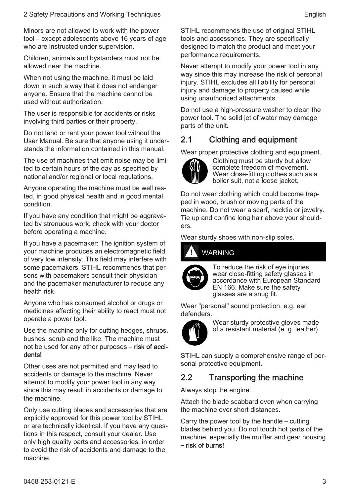Minors are not allowed to work with the power tool – except adolescents above 16 years of age who are instructed under supervision.

Children, animals and bystanders must not be allowed near the machine.

When not using the machine, it must be laid down in such a way that it does not endanger anyone. Ensure that the machine cannot be used without authorization.

The user is responsible for accidents or risks involving third parties or their property.

Do not lend or rent your power tool without the User Manual. Be sure that anyone using it under‐ stands the information contained in this manual.

The use of machines that emit noise may be limi‐ ted to certain hours of the day as specified by national and/or regional or local regulations.

Anyone operating the machine must be well res‐ ted, in good physical health and in good mental condition.

If you have any condition that might be aggrava‐ ted by strenuous work, check with your doctor before operating a machine.

If you have a pacemaker: The ignition system of your machine produces an electromagnetic field of very low intensity. This field may interfere with some pacemakers. STIHL recommends that per‐ sons with pacemakers consult their physician and the pacemaker manufacturer to reduce any health risk.

Anyone who has consumed alcohol or drugs or medicines affecting their ability to react must not operate a power tool.

Use the machine only for cutting hedges, shrubs, bushes, scrub and the like. The machine must not be used for any other purposes – risk of accidents!

Other uses are not permitted and may lead to accidents or damage to the machine. Never attempt to modify your power tool in any way since this may result in accidents or damage to the machine.

Only use cutting blades and accessories that are explicitly approved for this power tool by STIHL or are technically identical. If you have any ques‐ tions in this respect, consult your dealer. Use only high quality parts and accessories. in order to avoid the risk of accidents and damage to the machine.

STIHL recommends the use of original STIHL tools and accessories. They are specifically designed to match the product and meet your performance requirements.

Never attempt to modify your power tool in any way since this may increase the risk of personal injury. STIHL excludes all liability for personal injury and damage to property caused while using unauthorized attachments.

Do not use a high-pressure washer to clean the power tool. The solid jet of water may damage parts of the unit.

#### 2.1 Clothing and equipment

Wear proper protective clothing and equipment.



Clothing must be sturdy but allow complete freedom of movement. Wear close-fitting clothes such as a boiler suit, not a loose jacket.

Do not wear clothing which could become trap‐ ped in wood, brush or moving parts of the machine. Do not wear a scarf, necktie or jewelry. Tie up and confine long hair above your should‐ ers.

Wear sturdy shoes with non-slip soles.

#### WARNING



To reduce the risk of eye injuries, wear close-fitting safety glasses in accordance with European Standard EN 166. Make sure the safety glasses are a snug fit.

Wear "personal" sound protection, e.g. ear defenders.



Wear sturdy protective gloves made of a resistant material (e. g. leather).

STIHL can supply a comprehensive range of per‐ sonal protective equipment.

#### 2.2 Transporting the machine

Always stop the engine.

Attach the blade scabbard even when carrying the machine over short distances.

Carry the power tool by the handle – cutting blades behind you. Do not touch hot parts of the machine, especially the muffler and gear housing – risk of burns!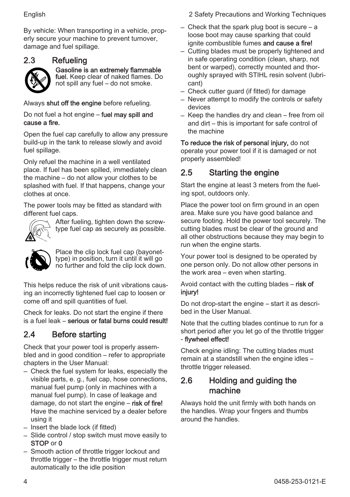By vehicle: When transporting in a vehicle, properly secure your machine to prevent turnover, damage and fuel spillage.

### 2.3 Refueling



Gasoline is an extremely flammable fuel. Keep clear of naked flames. Do

not spill any fuel – do not smoke.

Always shut off the engine before refueling.

Do not fuel a hot engine – fuel may spill and cause a fire.

Open the fuel cap carefully to allow any pressure build-up in the tank to release slowly and avoid fuel spillage.

Only refuel the machine in a well ventilated place. If fuel has been spilled, immediately clean the machine – do not allow your clothes to be splashed with fuel. If that happens, change your clothes at once.

The power tools may be fitted as standard with different fuel caps.



After fueling, tighten down the screwtype fuel cap as securely as possible.



Place the clip lock fuel cap (bayonettype) in position, turn it until it will go no further and fold the clip lock down.

This helps reduce the risk of unit vibrations causing an incorrectly tightened fuel cap to loosen or come off and spill quantities of fuel.

Check for leaks. Do not start the engine if there is a fuel leak – serious or fatal burns could result!

#### 2.4 Before starting

Check that your power tool is properly assem‐ bled and in good condition – refer to appropriate chapters in the User Manual:

- Check the fuel system for leaks, especially the visible parts, e. g., fuel cap, hose connections, manual fuel pump (only in machines with a manual fuel pump). In case of leakage and damage, do not start the engine - risk of fire! Have the machine serviced by a dealer before using it
- Insert the blade lock (if fitted)
- Slide control / stop switch must move easily to STOP or 0
- Smooth action of throttle trigger lockout and throttle trigger – the throttle trigger must return automatically to the idle position

English 2 Safety Precautions and Working Techniques

- Check that the spark plug boot is secure a loose boot may cause sparking that could ignite combustible fumes and cause a fire!
- Cutting blades must be properly tightened and in safe operating condition (clean, sharp, not bent or warped), correctly mounted and thor‐ oughly sprayed with STIHL resin solvent (lubri‐ cant)
- Check cutter guard (if fitted) for damage
- Never attempt to modify the controls or safety devices
- Keep the handles dry and clean free from oil and dirt – this is important for safe control of the machine

To reduce the risk of personal injury, do not operate your power tool if it is damaged or not properly assembled!

#### 2.5 Starting the engine

Start the engine at least 3 meters from the fuel‐ ing spot, outdoors only.

Place the power tool on firm ground in an open area. Make sure you have good balance and secure footing. Hold the power tool securely. The cutting blades must be clear of the ground and all other obstructions because they may begin to run when the engine starts.

Your power tool is designed to be operated by one person only. Do not allow other persons in the work area – even when starting.

Avoid contact with the cutting blades  $-$  risk of injury!

Do not drop-start the engine – start it as descri‐ bed in the User Manual.

Note that the cutting blades continue to run for a short period after you let go of the throttle trigger - flywheel effect!

Check engine idling: The cutting blades must remain at a standstill when the engine idles – throttle trigger released.

#### 2.6 Holding and guiding the machine

Always hold the unit firmly with both hands on the handles. Wrap your fingers and thumbs around the handles.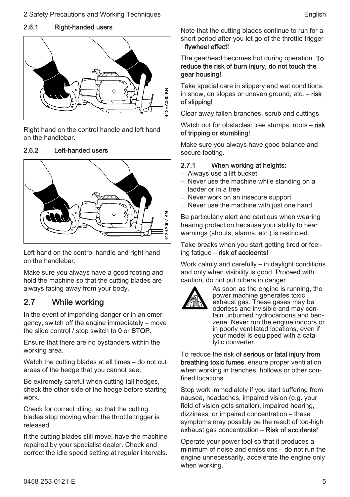#### 2.6.1 Right-handed users



Right hand on the control handle and left hand on the handlebar.

#### 2.6.2 Left-handed users



Left hand on the control handle and right hand on the handlebar.

Make sure you always have a good footing and hold the machine so that the cutting blades are always facing away from your body.

#### 2.7 While working

In the event of impending danger or in an emer‐ gency, switch off the engine immediately – move the slide control / stop switch to 0 or STOP.

Ensure that there are no bystanders within the working area

Watch the cutting blades at all times – do not cut areas of the hedge that you cannot see.

Be extremely careful when cutting tall hedges, check the other side of the hedge before starting work.

Check for correct idling, so that the cutting blades stop moving when the throttle trigger is released.

If the cutting blades still move, have the machine repaired by your specialist dealer. Check and correct the idle speed setting at regular intervals. Note that the cutting blades continue to run for a short period after you let go of the throttle trigger - flywheel effect!

#### The gearhead becomes hot during operation. To reduce the risk of burn injury, do not touch the gear housing!

Take special care in slippery and wet conditions, in snow, on slopes or uneven ground, etc. – risk of slipping!

Clear away fallen branches, scrub and cuttings.

Watch out for obstacles: tree stumps, roots – risk of tripping or stumbling!

Make sure you always have good balance and secure footing.

#### 2.7.1 When working at heights:

- Always use a lift bucket
- Never use the machine while standing on a ladder or in a tree
- Never work on an insecure support
- Never use the machine with just one hand

Be particularly alert and cautious when wearing hearing protection because your ability to hear warnings (shouts, alarms, etc.) is restricted.

Take breaks when you start getting tired or feeling fatigue – risk of accidents!

Work calmly and carefully – in daylight conditions and only when visibility is good. Proceed with caution, do not put others in danger.



As soon as the engine is running, the power machine generates toxic exhaust gas. These gases may be odorless and invisible and may con‐ tain unburned hydrocarbons and ben‐ zene. Never run the engine indoors or in poorly ventilated locations, even if your model is equipped with a cata‐ lytic converter.

To reduce the risk of serious or fatal injury from breathing toxic fumes, ensure proper ventilation when working in trenches, hollows or other confined locations.

Stop work immediately if you start suffering from nausea, headaches, impaired vision (e.g. your field of vision gets smaller), impaired hearing, dizziness, or impaired concentration – these symptoms may possibly be the result of too-high exhaust gas concentration – Risk of accidents!

Operate your power tool so that it produces a minimum of noise and emissions – do not run the engine unnecessarily, accelerate the engine only when working.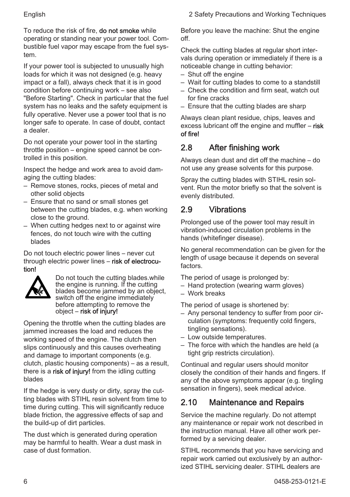To reduce the risk of fire, **do not smoke** while operating or standing near your power tool. Com‐ bustible fuel vapor may escape from the fuel sys‐ tem.

If your power tool is subjected to unusually high loads for which it was not designed (e.g. heavy impact or a fall), always check that it is in good condition before continuing work – see also "Before Starting". Check in particular that the fuel system has no leaks and the safety equipment is fully operative. Never use a power tool that is no longer safe to operate. In case of doubt, contact a dealer.

Do not operate your power tool in the starting throttle position – engine speed cannot be con‐ trolled in this position.

Inspect the hedge and work area to avoid dam‐ aging the cutting blades:

- Remove stones, rocks, pieces of metal and other solid objects
- Ensure that no sand or small stones get between the cutting blades, e.g. when working close to the ground.
- When cutting hedges next to or against wire fences, do not touch wire with the cutting blades

Do not touch electric power lines – never cut through electric power lines – risk of electrocution!



Do not touch the cutting blades.while the engine is running. If the cutting blades become jammed by an object. switch off the engine immediately before attempting to remove the object – risk of injury!

Opening the throttle when the cutting blades are jammed increases the load and reduces the working speed of the engine. The clutch then slips continuously and this causes overheating and damage to important components (e.g. clutch, plastic housing components) – as a result, there is a risk of injury! from the idling cutting blades

If the hedge is very dusty or dirty, spray the cutting blades with STIHL resin solvent from time to time during cutting. This will significantly reduce blade friction, the aggressive effects of sap and the build-up of dirt particles.

The dust which is generated during operation may be harmful to health. Wear a dust mask in case of dust formation.

Before you leave the machine: Shut the engine off.

Check the cutting blades at regular short inter‐ vals during operation or immediately if there is a noticeable change in cutting behavior:

- Shut off the engine
- Wait for cutting blades to come to a standstill
- Check the condition and firm seat, watch out for fine cracks
- Ensure that the cutting blades are sharp

Always clean plant residue, chips, leaves and excess lubricant off the engine and muffler – risk of fire!

### 2.8 After finishing work

Always clean dust and dirt off the machine – do not use any grease solvents for this purpose.

Spray the cutting blades with STIHL resin sol‐ vent. Run the motor briefly so that the solvent is evenly distributed.

### 2.9 Vibrations

Prolonged use of the power tool may result in vibration-induced circulation problems in the hands (whitefinger disease).

No general recommendation can be given for the length of usage because it depends on several factors.

The period of usage is prolonged by:

- Hand protection (wearing warm gloves)
- Work breaks

The period of usage is shortened by:

- Any personal tendency to suffer from poor cir‐ culation (symptoms: frequently cold fingers, tingling sensations).
- Low outside temperatures.
- The force with which the handles are held (a tight grip restricts circulation).

Continual and regular users should monitor closely the condition of their hands and fingers. If any of the above symptoms appear (e.g. tingling sensation in fingers), seek medical advice.

### 2.10 Maintenance and Repairs

Service the machine regularly. Do not attempt any maintenance or repair work not described in the instruction manual. Have all other work per‐ formed by a servicing dealer.

STIHL recommends that you have servicing and repair work carried out exclusively by an author‐ ized STIHL servicing dealer. STIHL dealers are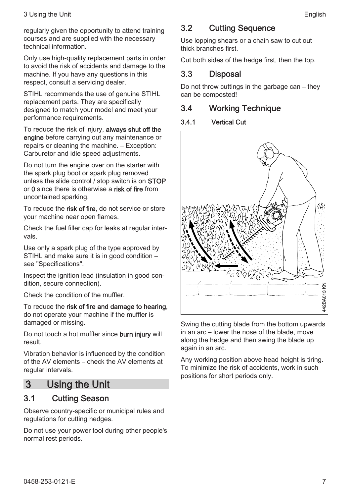<span id="page-6-0"></span>regularly given the opportunity to attend training courses and are supplied with the necessary technical information.

Only use high-quality replacement parts in order to avoid the risk of accidents and damage to the machine. If you have any questions in this respect, consult a servicing dealer.

STIHL recommends the use of genuine STIHL replacement parts. They are specifically designed to match your model and meet your performance requirements.

To reduce the risk of injury, **always shut off the** engine before carrying out any maintenance or repairs or cleaning the machine. – Exception: Carburetor and idle speed adjustments.

Do not turn the engine over on the starter with the spark plug boot or spark plug removed unless the slide control / stop switch is on STOP or 0 since there is otherwise a risk of fire from uncontained sparking.

To reduce the risk of fire, do not service or store your machine near open flames.

Check the fuel filler cap for leaks at regular inter‐ vals.

Use only a spark plug of the type approved by STIHL and make sure it is in good condition – see "Specifications".

Inspect the ignition lead (insulation in good con‐ dition, secure connection).

Check the condition of the muffler.

To reduce the risk of fire and damage to hearing. do not operate your machine if the muffler is damaged or missing.

Do not touch a hot muffler since burn injury will result.

Vibration behavior is influenced by the condition of the AV elements – check the AV elements at regular intervals.

### 3 Using the Unit

#### 3.1 Cutting Season

Observe country-specific or municipal rules and regulations for cutting hedges.

Do not use your power tool during other people's normal rest periods.

#### 3.2 Cutting Sequence

Use lopping shears or a chain saw to cut out thick branches first.

Cut both sides of the hedge first, then the top.

#### 3.3 Disposal

Do not throw cuttings in the garbage can – they can be composted!

#### 3.4 Working Technique

#### 3.4.1 Vertical Cut



Swing the cutting blade from the bottom upwards in an arc – lower the nose of the blade, move along the hedge and then swing the blade up again in an arc.

Any working position above head height is tiring. To minimize the risk of accidents, work in such positions for short periods only.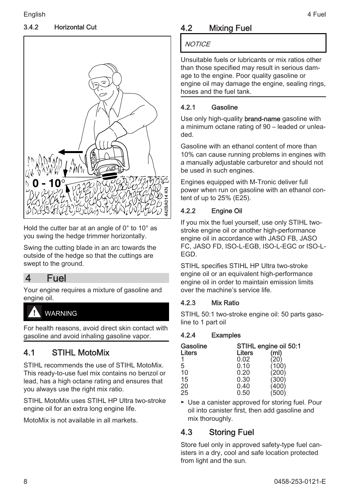#### <span id="page-7-0"></span>3.4.2 Horizontal Cut



Hold the cutter bar at an angle of 0° to 10° as you swing the hedge trimmer horizontally.

Swing the cutting blade in an arc towards the outside of the hedge so that the cuttings are swept to the ground.

#### 4 Fuel

Your engine requires a mixture of gasoline and engine oil.

### WARNING

For health reasons, avoid direct skin contact with gasoline and avoid inhaling gasoline vapor.

#### 4.1 STIHL MotoMix

STIHL recommends the use of STIHL MotoMix. This ready-to-use fuel mix contains no benzol or lead, has a high octane rating and ensures that you always use the right mix ratio.

STIHL MotoMix uses STIHL HP Ultra two-stroke engine oil for an extra long engine life.

MotoMix is not available in all markets.

### 4.2 Mixing Fuel

#### **NOTICE**

Unsuitable fuels or lubricants or mix ratios other than those specified may result in serious dam‐ age to the engine. Poor quality gasoline or engine oil may damage the engine, sealing rings, hoses and the fuel tank.

#### 4.2.1 Gasoline

Use only high-quality brand-name gasoline with a minimum octane rating of 90 – leaded or unlea‐ ded.

Gasoline with an ethanol content of more than 10% can cause running problems in engines with a manually adjustable carburetor and should not be used in such engines.

Engines equipped with M-Tronic deliver full power when run on gasoline with an ethanol con‐ tent of up to 25% (E25).

#### 4.2.2 Engine Oil

If you mix the fuel yourself, use only STIHL twostroke engine oil or another high-performance engine oil in accordance with JASO FB, JASO FC, JASO FD, ISO-L-EGB, ISO-L-EGC or ISO-L-EGD.

STIHL specifies STIHL HP Ultra two-stroke engine oil or an equivalent high-performance engine oil in order to maintain emission limits over the machine's service life.

#### 4.2.3 Mix Ratio

STIHL 50:1 two-stroke engine oil: 50 parts gasoline to 1 part oil

#### 4.2.4 Examples

| Gasoline        | STIHL engine oil 50:1 |               |  |  |  |
|-----------------|-----------------------|---------------|--|--|--|
| Liters          | Liters                | (ml)          |  |  |  |
|                 | 0.02                  |               |  |  |  |
| 5               | 0.10                  | $100^{\circ}$ |  |  |  |
| 10              | 0.20                  | 200           |  |  |  |
| 15              | 0.30                  | (300)         |  |  |  |
|                 | 0.40                  | 400           |  |  |  |
| $\frac{20}{25}$ | 0.50                  |               |  |  |  |

► Use a canister approved for storing fuel. Pour oil into canister first, then add gasoline and mix thoroughly.

#### 4.3 Storing Fuel

Store fuel only in approved safety-type fuel canisters in a dry, cool and safe location protected from light and the sun.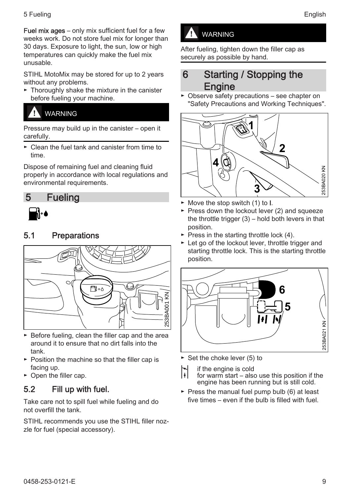<span id="page-8-0"></span>5 Fueling English Contract of the Contract of the Contract of the Contract of the Contract of the Contract of the Contract of the Contract of the Contract of the Contract of the Contract of the Contract of the Contract of

Fuel mix ages – only mix sufficient fuel for a few weeks work. Do not store fuel mix for longer than 30 days. Exposure to light, the sun, low or high temperatures can quickly make the fuel mix unusable.

STIHL MotoMix may be stored for up to 2 years without any problems.

► Thoroughly shake the mixture in the canister before fueling your machine.

### WARNING

Pressure may build up in the canister – open it carefully.

► Clean the fuel tank and canister from time to time.

Dispose of remaining fuel and cleaning fluid properly in accordance with local regulations and environmental requirements.

### 5 Fueling



#### 5.1 Preparations



- ► Before fueling, clean the filler cap and the area around it to ensure that no dirt falls into the tank.
- ► Position the machine so that the filler cap is facing up.
- ► Open the filler cap.

#### 5.2 Fill up with fuel.

Take care not to spill fuel while fueling and do not overfill the tank.

STIHL recommends you use the STIHL filler noz‐ zle for fuel (special accessory).

### WARNING

After fueling, tighten down the filler cap as securely as possible by hand.

### 6 Starting / Stopping the **Engine**

► Observe safety precautions – see chapter on "Safety Precautions and Working Techniques".



- ► Move the stop switch (1) to I.
- ► Press down the lockout lever (2) and squeeze the throttle trigger (3) – hold both levers in that position.
- $\blacktriangleright$  Press in the starting throttle lock (4).
- ► Let go of the lockout lever, throttle trigger and starting throttle lock. This is the starting throttle position.



- ► Set the choke lever (5) to
- | $\begin{vmatrix} \cdot \\ \cdot \end{vmatrix}$  if the engine is cold
- for warm start also use this position if the engine has been running but is still cold.
- $\blacktriangleright$  Press the manual fuel pump bulb (6) at least five times – even if the bulb is filled with fuel.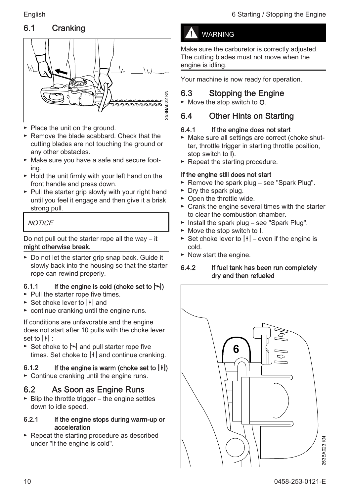### 6.1 Cranking



- ► Place the unit on the ground.
- ► Remove the blade scabbard. Check that the cutting blades are not touching the ground or any other obstacles.
- ► Make sure you have a safe and secure foot‐ ing.
- ► Hold the unit firmly with your left hand on the front handle and press down.
- ► Pull the starter grip slowly with your right hand until you feel it engage and then give it a brisk strong pull.

#### **NOTICE**

Do not pull out the starter rope all the way  $-$  it might otherwise break.

► Do not let the starter grip snap back. Guide it slowly back into the housing so that the starter rope can rewind properly.

#### 6.1.1 If the engine is cold (choke set to  $\leftarrow$ )

- ► Pull the starter rope five times.
- $\triangleright$  Set choke lever to  $\vert \cdot \vert$  and
- $\triangleright$  continue cranking until the engine runs.

If conditions are unfavorable and the engine does not start after 10 pulls with the choke lever set to  $||\cdot||$ :

► Set choke to  $\sim$  and pull starter rope five times. Set choke to  $|\cdot|$  and continue cranking.

#### 6.1.2 If the engine is warm (choke set to  $\left|\frac{1}{2}\right|$ )

► Continue cranking until the engine runs.

#### 6.2 As Soon as Engine Runs

 $\blacktriangleright$  Blip the throttle trigger – the engine settles down to idle speed.

#### 6.2.1 If the engine stops during warm-up or acceleration

► Repeat the starting procedure as described under "If the engine is cold".

#### WARNING

Make sure the carburetor is correctly adjusted. The cutting blades must not move when the engine is idling.

Your machine is now ready for operation.

#### 6.3 Stopping the Engine

► Move the stop switch to O.

#### 6.4 Other Hints on Starting

#### 6.4.1 If the engine does not start

- ► Make sure all settings are correct (choke shut‐ ter, throttle trigger in starting throttle position, stop switch to I).
- ► Repeat the starting procedure.

#### If the engine still does not start

- ► Remove the spark plug see "Spark Plug".
- ► Dry the spark plug.
- ► Open the throttle wide.
- ► Crank the engine several times with the starter to clear the combustion chamber.
- ► Install the spark plug see "Spark Plug".
- ► Move the stop switch to I.
- ► Set choke lever to  $| \cdot |$  even if the engine is cold.
- ► Now start the engine.

#### 6.4.2 If fuel tank has been run completely dry and then refueled

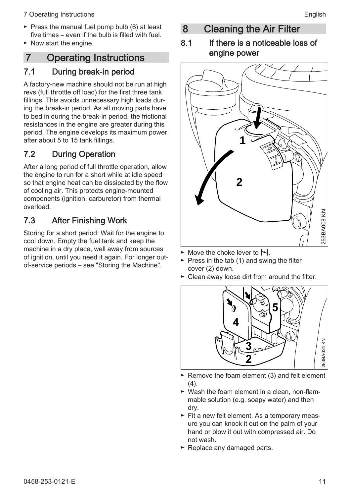- <span id="page-10-0"></span>7 Operating Instructions **English English**
- ► Press the manual fuel pump bulb (6) at least five times – even if the bulb is filled with fuel.
- ► Now start the engine.

### 7 Operating Instructions

#### 7.1 During break-in period

A factory-new machine should not be run at high revs (full throttle off load) for the first three tank fillings. This avoids unnecessary high loads dur‐ ing the break-in period. As all moving parts have to bed in during the break-in period, the frictional resistances in the engine are greater during this period. The engine develops its maximum power after about 5 to 15 tank fillings.

### 7.2 During Operation

After a long period of full throttle operation, allow the engine to run for a short while at idle speed so that engine heat can be dissipated by the flow of cooling air. This protects engine-mounted components (ignition, carburetor) from thermal overload.

### 7.3 After Finishing Work

Storing for a short period: Wait for the engine to cool down. Empty the fuel tank and keep the machine in a dry place, well away from sources of ignition, until you need it again. For longer outof-service periods – see "Storing the Machine".

8 Cleaning the Air Filter

#### 8.1 If there is a noticeable loss of engine power



- Move the choke lever to  $\blacktriangleright$
- $\blacktriangleright$  Press in the tab (1) and swing the filter cover (2) down.
- ► Clean away loose dirt from around the filter.



- ► Remove the foam element (3) and felt element (4).
- ► Wash the foam element in a clean, non-flam‐ mable solution (e.g. soapy water) and then dry.
- ► Fit a new felt element. As a temporary meas‐ ure you can knock it out on the palm of your hand or blow it out with compressed air. Do not wash.
- ► Replace any damaged parts.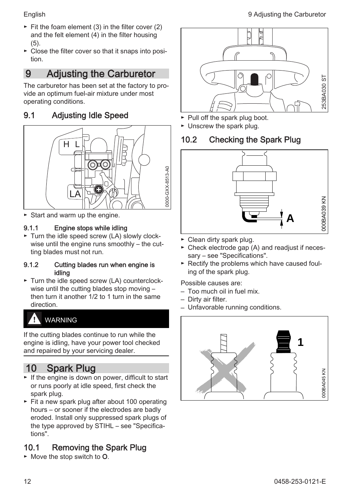<span id="page-11-0"></span>

- $\blacktriangleright$  Fit the foam element (3) in the filter cover (2) and the felt element (4) in the filter housing (5).
- ► Close the filter cover so that it snaps into posi‐ tion.

### 9 Adjusting the Carburetor

The carburetor has been set at the factory to pro‐ vide an optimum fuel-air mixture under most operating conditions.

#### 9.1 Adjusting Idle Speed



► Start and warm up the engine.

#### 9.1.1 Engine stops while idling

► Turn the idle speed screw (LA) slowly clock‐ wise until the engine runs smoothly – the cutting blades must not run.

#### 9.1.2 Cutting blades run when engine is idling

► Turn the idle speed screw (LA) counterclock‐ wise until the cutting blades stop moving – then turn it another 1/2 to 1 turn in the same direction.

### WARNING

If the cutting blades continue to run while the engine is idling, have your power tool checked and repaired by your servicing dealer.

## 10 Spark Plug

- ► If the engine is down on power, difficult to start or runs poorly at idle speed, first check the spark plug.
- ► Fit a new spark plug after about 100 operating hours – or sooner if the electrodes are badly eroded. Install only suppressed spark plugs of the type approved by STIHL – see "Specifica‐ tions".

### 10.1 Removing the Spark Plug



- ► Pull off the spark plug boot.
- ► Unscrew the spark plug.

#### 10.2 Checking the Spark Plug



- ► Clean dirty spark plug.
- ► Check electrode gap (A) and readjust if neces‐ sary – see "Specifications".
- ► Rectify the problems which have caused foul‐ ing of the spark plug.

Possible causes are:

- Too much oil in fuel mix.
- Dirty air filter.
- Unfavorable running conditions.

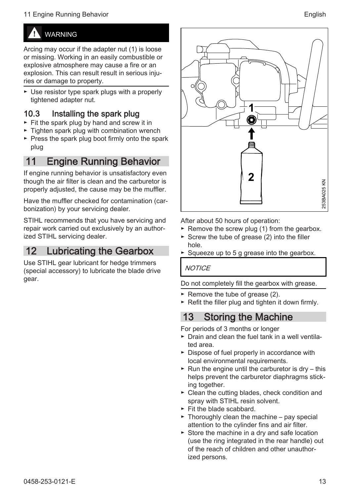#### <span id="page-12-0"></span>11 Engine Running Behavior **English** Service Studies and the Service Studies of the Service Studies and the Service Studies and the Service Studies of the Service Studies and the Service Studies and the Service Studies and

## WARNING

Arcing may occur if the adapter nut (1) is loose or missing. Working in an easily combustible or explosive atmosphere may cause a fire or an explosion. This can result result in serious injuries or damage to property.

► Use resistor type spark plugs with a properly tightened adapter nut.

#### 10.3 Installing the spark plug

- ► Fit the spark plug by hand and screw it in
- ► Tighten spark plug with combination wrench
- ► Press the spark plug boot firmly onto the spark plug

### 11 Engine Running Behavior

If engine running behavior is unsatisfactory even though the air filter is clean and the carburetor is properly adjusted, the cause may be the muffler.

Have the muffler checked for contamination (car‐ bonization) by your servicing dealer.

STIHL recommends that you have servicing and repair work carried out exclusively by an author‐ ized STIHL servicing dealer.

### 12 Lubricating the Gearbox

Use STIHL gear lubricant for hedge trimmers (special accessory) to lubricate the blade drive gear.



After about 50 hours of operation:

- $\blacktriangleright$  Remove the screw plug (1) from the gearbox.
- ► Screw the tube of grease (2) into the filler hole.
- Squeeze up to 5 g grease into the gearbox.

#### **NOTICE**

Do not completely fill the gearbox with grease.

- ► Remove the tube of grease (2).
- ► Refit the filler plug and tighten it down firmly.

### 13 Storing the Machine

For periods of 3 months or longer

- ► Drain and clean the fuel tank in a well ventila‐ ted area.
- ► Dispose of fuel properly in accordance with local environmental requirements.
- $\blacktriangleright$  Run the engine until the carburetor is dry this helps prevent the carburetor diaphragms stick‐ ing together.
- ► Clean the cutting blades, check condition and spray with STIHL resin solvent.
- ► Fit the blade scabbard.
- $\triangleright$  Thoroughly clean the machine pay special attention to the cylinder fins and air filter.
- ► Store the machine in a dry and safe location (use the ring integrated in the rear handle) out of the reach of children and other unauthor‐ ized persons.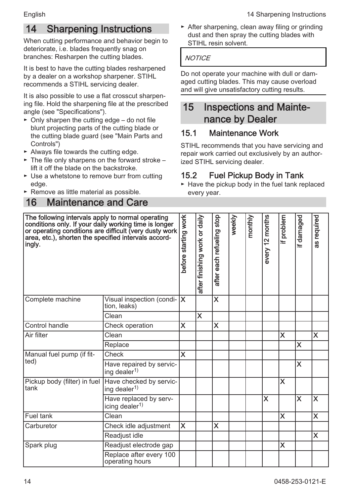## <span id="page-13-0"></span>14 Sharpening Instructions

When cutting performance and behavior begin to deteriorate, i.e. blades frequently snag on branches: Resharpen the cutting blades.

It is best to have the cutting blades resharpened by a dealer on a workshop sharpener. STIHL recommends a STIHL servicing dealer.

It is also possible to use a flat crosscut sharpen‐ ing file. Hold the sharpening file at the prescribed angle (see "Specifications").

- ► Only sharpen the cutting edge do not file blunt projecting parts of the cutting blade or the cutting blade guard (see "Main Parts and Controls")
- ► Always file towards the cutting edge.
- ► The file only sharpens on the forward stroke lift it off the blade on the backstroke.
- ► Use a whetstone to remove burr from cutting edge.
- ► Remove as little material as possible.

### 16 Maintenance and Care

► After sharpening, clean away filing or grinding dust and then spray the cutting blades with STIHL resin solvent.

#### **NOTICE**

Do not operate your machine with dull or dam‐ aged cutting blades. This may cause overload and will give unsatisfactory cutting results.

### 15 Inspections and Mainte‐ nance by Dealer

### 15.1 Maintenance Work

STIHL recommends that you have servicing and repair work carried out exclusively by an author‐ ized STIHL servicing dealer.

#### 15.2 Fuel Pickup Body in Tank

► Have the pickup body in the fuel tank replaced every year.

| The following intervals apply to normal operating<br>conditions only. If your daily working time is longer<br>or operating conditions are difficult (very dusty work<br>area, etc.), shorten the specified intervals accord-<br>ingly. |                                                                      | before starting work | after finishing work or daily | after each refueling stop | weekly | monthly | every 12 months | if problem | if damaged              | as required |
|----------------------------------------------------------------------------------------------------------------------------------------------------------------------------------------------------------------------------------------|----------------------------------------------------------------------|----------------------|-------------------------------|---------------------------|--------|---------|-----------------|------------|-------------------------|-------------|
| Complete machine                                                                                                                                                                                                                       | Visual inspection (condi- $\mathsf{\mid} \mathsf{X}$<br>tion, leaks) |                      |                               | $\overline{\mathsf{x}}$   |        |         |                 |            |                         |             |
|                                                                                                                                                                                                                                        | Clean                                                                |                      | X                             |                           |        |         |                 |            |                         |             |
| Control handle                                                                                                                                                                                                                         | Check operation                                                      | X                    |                               | X                         |        |         |                 |            |                         |             |
| Air filter                                                                                                                                                                                                                             | Clean                                                                |                      |                               |                           |        |         |                 | X          |                         | X           |
|                                                                                                                                                                                                                                        | Replace                                                              |                      |                               |                           |        |         |                 |            | $\overline{\mathsf{x}}$ |             |
| Manual fuel pump (if fit-                                                                                                                                                                                                              | Check                                                                | X                    |                               |                           |        |         |                 |            |                         |             |
| (ted                                                                                                                                                                                                                                   | Have repaired by servic-<br>ing dealer <sup>1)</sup>                 |                      |                               |                           |        |         |                 |            | X                       |             |
| Pickup body (filter) in fuel<br>Itank                                                                                                                                                                                                  | Have checked by servic-<br>ing dealer <sup>1)</sup>                  |                      |                               |                           |        |         |                 | X          |                         |             |
|                                                                                                                                                                                                                                        | Have replaced by serv-<br>icing dealer <sup>1)</sup>                 |                      |                               |                           |        |         | X               |            | $\overline{\textsf{x}}$ | ΙX          |
| Fuel tank                                                                                                                                                                                                                              | Clean                                                                |                      |                               |                           |        |         |                 | X          |                         | X           |
| Carburetor                                                                                                                                                                                                                             | Check idle adjustment                                                | X                    |                               | X                         |        |         |                 |            |                         |             |
|                                                                                                                                                                                                                                        | Readjust idle                                                        |                      |                               |                           |        |         |                 |            |                         | X           |
| Spark plug                                                                                                                                                                                                                             | Readjust electrode gap                                               |                      |                               |                           |        |         |                 | X          |                         |             |
|                                                                                                                                                                                                                                        | Replace after every 100<br>operating hours                           |                      |                               |                           |        |         |                 |            |                         |             |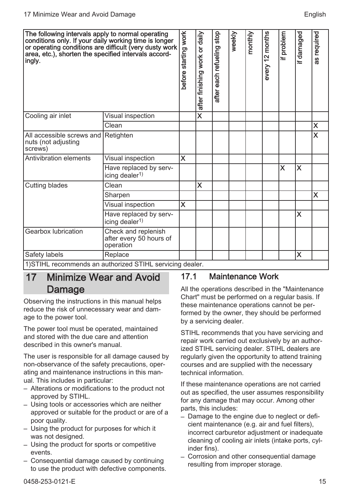<span id="page-14-0"></span>

| The following intervals apply to normal operating<br>conditions only. If your daily working time is longer<br>or operating conditions are difficult (very dusty work<br>area, etc.), shorten the specified intervals accord-<br>ingly. |                                                             | before starting work    | after finishing work or daily | each refueling stop<br>after | weekly | monthly | every 12 months | if problem | if damaged | as required             |
|----------------------------------------------------------------------------------------------------------------------------------------------------------------------------------------------------------------------------------------|-------------------------------------------------------------|-------------------------|-------------------------------|------------------------------|--------|---------|-----------------|------------|------------|-------------------------|
| Cooling air inlet                                                                                                                                                                                                                      | Visual inspection                                           |                         | $\overline{\mathsf{x}}$       |                              |        |         |                 |            |            |                         |
|                                                                                                                                                                                                                                        | Clean                                                       |                         |                               |                              |        |         |                 |            |            | X                       |
| All accessible screws and Retighten<br>nuts (not adjusting<br>screws)                                                                                                                                                                  |                                                             |                         |                               |                              |        |         |                 |            |            | $\overline{\mathsf{x}}$ |
| Antivibration elements                                                                                                                                                                                                                 | Visual inspection                                           | X                       |                               |                              |        |         |                 |            |            |                         |
|                                                                                                                                                                                                                                        | Have replaced by serv-<br>icing dealer <sup>1)</sup>        |                         |                               |                              |        |         |                 | X          | X          |                         |
| Cutting blades                                                                                                                                                                                                                         | Clean                                                       |                         | X                             |                              |        |         |                 |            |            |                         |
|                                                                                                                                                                                                                                        | Sharpen                                                     |                         |                               |                              |        |         |                 |            |            | X                       |
|                                                                                                                                                                                                                                        | Visual inspection                                           | $\overline{\mathsf{x}}$ |                               |                              |        |         |                 |            |            |                         |
|                                                                                                                                                                                                                                        | Have replaced by serv-<br>icing dealer <sup>1)</sup>        |                         |                               |                              |        |         |                 |            | X          |                         |
| Gearbox lubrication                                                                                                                                                                                                                    | Check and replenish<br>after every 50 hours of<br>operation |                         |                               |                              |        |         |                 |            |            |                         |
| Safety labels                                                                                                                                                                                                                          | Replace                                                     |                         |                               |                              |        |         |                 |            | X          |                         |
| 1) STIHL recommends an authorized STIHL servicing dealer.                                                                                                                                                                              |                                                             |                         |                               |                              |        |         |                 |            |            |                         |

17 Minimize Wear and Avoid

# Damage

Observing the instructions in this manual helps reduce the risk of unnecessary wear and dam‐ age to the power tool.

The power tool must be operated, maintained and stored with the due care and attention described in this owner's manual.

The user is responsible for all damage caused by non-observance of the safety precautions, oper‐ ating and maintenance instructions in this man‐ ual. This includes in particular:

- Alterations or modifications to the product not approved by STIHL.
- Using tools or accessories which are neither approved or suitable for the product or are of a poor quality.
- Using the product for purposes for which it was not designed.
- Using the product for sports or competitive events.
- Consequential damage caused by continuing to use the product with defective components.

#### 17.1 Maintenance Work

All the operations described in the "Maintenance Chart" must be performed on a regular basis. If these maintenance operations cannot be per‐ formed by the owner, they should be performed by a servicing dealer.

STIHL recommends that you have servicing and repair work carried out exclusively by an author‐ ized STIHL servicing dealer. STIHL dealers are regularly given the opportunity to attend training courses and are supplied with the necessary technical information.

If these maintenance operations are not carried out as specified, the user assumes responsibility for any damage that may occur. Among other parts, this includes:

- Damage to the engine due to neglect or defi‐ cient maintenance (e.g. air and fuel filters), incorrect carburetor adjustment or inadequate cleaning of cooling air inlets (intake ports, cyl‐ inder fins).
- Corrosion and other consequential damage resulting from improper storage.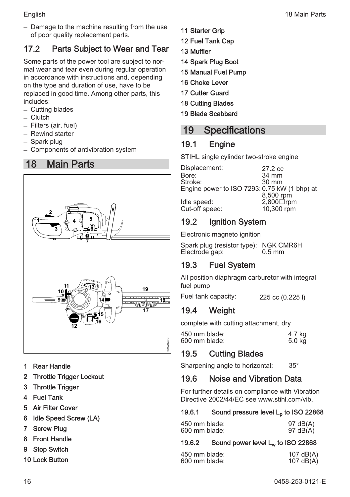<span id="page-15-0"></span>

– Damage to the machine resulting from the use of poor quality replacement parts.

### 17.2 Parts Subject to Wear and Tear

Some parts of the power tool are subject to nor‐ mal wear and tear even during regular operation in accordance with instructions and, depending on the type and duration of use, have to be replaced in good time. Among other parts, this includes:

- Cutting blades
- Clutch
- Filters (air, fuel)
- Rewind starter
- Spark plug
- Components of antivibration system

### 18 Main Parts



- 1 Rear Handle
- 2 Throttle Trigger Lockout
- 3 Throttle Trigger
- 4 Fuel Tank
- 5 Air Filter Cover
- 6 Idle Speed Screw (LA)
- 7 Screw Plug
- 8 Front Handle
- 9 Stop Switch
- 10 Lock Button
- 11 Starter Grip
- 12 Fuel Tank Cap
- 13 Muffler
- 14 Spark Plug Boot
- 15 Manual Fuel Pump
- 16 Choke Lever
- 17 Cutter Guard
- 18 Cutting Blades
- 19 Blade Scabbard

### 19 Specifications

### 19.1 Engine

STIHL single cylinder two-stroke engine

Displacement: 27.2 cc<br>
Bore: 34 mm Bore: 34 mm<br>Stroke: 30 mm Stroke: 30 mm Engine power to ISO 7293: 0.75 kW (1 bhp) at 8,500 rpm<br>2.800□rpm Idle speed: 2,800□rpm<br>Cut-off speed: 10.300 rpm Cut-off speed:

### 19.2 Ignition System

Electronic magneto ignition

Spark plug (resistor type): NGK CMR6H<br>Flectrode gap: 0.5 mm Electrode gap:

### 19.3 Fuel System

All position diaphragm carburetor with integral fuel pump

Fuel tank capacity: 225 cc (0.225 l)

### 19.4 Weight

complete with cutting attachment, dry

| 450 mm blade: | 4.7 kg |
|---------------|--------|
| 600 mm blade: | 5.0 kg |
|               |        |

### 19.5 Cutting Blades

Sharpening angle to horizontal: 35°

### 19.6 Noise and Vibration Data

For further details on compliance with Vibration Directive 2002/44/EC see www.stihl.com/vib.

#### 19.6.1 Sound pressure level  $L<sub>0</sub>$  to ISO 22868

| 450 mm blade: |                      |
|---------------|----------------------|
| 600 mm blade: | 97 dB(A)<br>97 dB(A) |

#### 19.6.2 Sound power level Lw to ISO 22868

| 450 mm blade:<br>600 mm blade: | 107 dB(A)<br>107 dB(A) |
|--------------------------------|------------------------|
|--------------------------------|------------------------|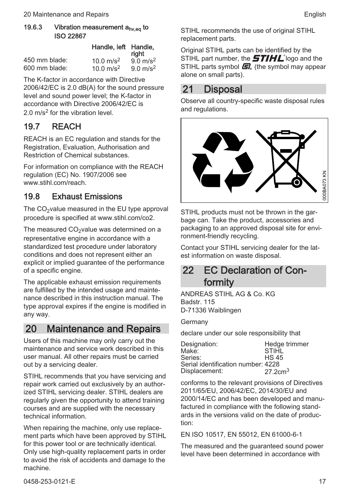<span id="page-16-0"></span>

|               | Handle, left Handle,  | riaht               |
|---------------|-----------------------|---------------------|
| 450 mm blade: | 10.0 $m/s^2$          | $9.0 \text{ m/s}^2$ |
| 600 mm blade: | 10.0 m/s <sup>2</sup> | $9.0 \text{ m/s}^2$ |

The K-factor in accordance with Directive 2006/42/EC is 2.0 dB(A) for the sound pressure level and sound power level; the K‑factor in accordance with Directive 2006/42/EC is 2.0 m/s<sup>2</sup> for the vibration level.

#### 19.7 REACH

REACH is an EC regulation and stands for the Registration, Evaluation, Authorisation and Restriction of Chemical substances.

For information on compliance with the REACH regulation (EC) No. 1907/2006 see www.stihl.com/reach

#### 19.8 Exhaust Emissions

The CO<sub>2</sub>value measured in the EU type approval procedure is specified at www.stihl.com/co2.

The measured  $CO<sub>2</sub>$ value was determined on a

representative engine in accordance with a standardized test procedure under laboratory conditions and does not represent either an explicit or implied guarantee of the performance of a specific engine.

The applicable exhaust emission requirements are fulfilled by the intended usage and mainte‐ nance described in this instruction manual. The type approval expires if the engine is modified in any way.

#### 20 Maintenance and Repairs

Users of this machine may only carry out the maintenance and service work described in this user manual. All other repairs must be carried out by a servicing dealer.

STIHL recommends that you have servicing and repair work carried out exclusively by an author‐ ized STIHL servicing dealer. STIHL dealers are regularly given the opportunity to attend training courses and are supplied with the necessary technical information.

When repairing the machine, only use replacement parts which have been approved by STIHL for this power tool or are technically identical. Only use high-quality replacement parts in order to avoid the risk of accidents and damage to the machine.

STIHL recommends the use of original STIHL replacement parts.

Original STIHL parts can be identified by the STIHL part number, the  $\bm{5}$ TIHL<sup>°</sup> logo and the STIHL parts symbol  $\mathbf{F}$  (the symbol may appear alone on small parts).

### 21 Disposal

Observe all country-specific waste disposal rules and regulations.



STIHL products must not be thrown in the garbage can. Take the product, accessories and packaging to an approved disposal site for envi‐ ronment-friendly recycling.

Contact your STIHL servicing dealer for the lat‐ est information on waste disposal.

### 22 EC Declaration of Conformity

ANDREAS STIHL AG & Co. KG Badstr. 115 D-71336 Waiblingen

Germany

declare under our sole responsibility that

| Designation:                       | Hedge trimmer      |
|------------------------------------|--------------------|
| Make:                              | <b>STIHL</b>       |
| Series:                            | <b>HS 45</b>       |
| Serial identification number: 4228 |                    |
| Displacement:                      | $27.2 \text{cm}^3$ |

conforms to the relevant provisions of Directives 2011/65/EU, 2006/42/EC, 2014/30/EU and 2000/14/EC and has been developed and manu‐ factured in compliance with the following stand‐ ards in the versions valid on the date of produc‐ tion:

EN ISO 10517, EN 55012, EN 61000‑6‑1

The measured and the guaranteed sound power level have been determined in accordance with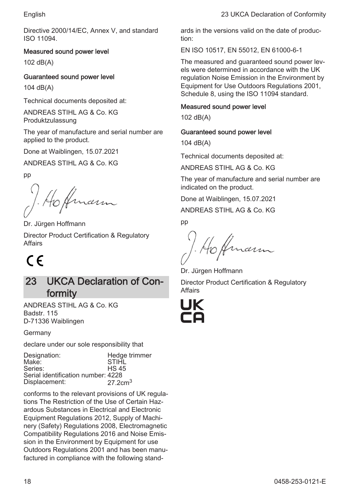<span id="page-17-0"></span>Directive 2000/14/EC, Annex V, and standard ISO 11094.

#### Measured sound power level

102 dB(A)

#### Guaranteed sound power level

104 dB(A)

Technical documents deposited at:

ANDREAS STIHL AG & Co. KG Produktzulassung

The year of manufacture and serial number are applied to the product.

Done at Waiblingen, 15.07.2021

ANDREAS STIHL AG & Co. KG

pp

Dr. Jürgen Hoffmann

Director Product Certification & Regulatory Affairs

# $\epsilon$

### 23 UKCA Declaration of Conformity

ANDREAS STIHL AG & Co. KG Badstr. 115 D-71336 Waiblingen

Germany

declare under our sole responsibility that

| Designation:<br>Make:<br>Series:<br>Serial identification number: 4228 | Hedge trimmer<br><b>STIHL</b><br><b>HS 45</b> |
|------------------------------------------------------------------------|-----------------------------------------------|
| Displacement:                                                          | $27.2 \text{cm}^3$                            |

conforms to the relevant provisions of UK regula‐ tions The Restriction of the Use of Certain Haz‐ ardous Substances in Electrical and Electronic Equipment Regulations 2012, Supply of Machi‐ nery (Safety) Regulations 2008, Electromagnetic Compatibility Regulations 2016 and Noise Emis‐ sion in the Environment by Equipment for use Outdoors Regulations 2001 and has been manu‐ factured in compliance with the following standards in the versions valid on the date of produc‐ tion:

EN ISO 10517, EN 55012, EN 61000‑6‑1

The measured and guaranteed sound power levels were determined in accordance with the UK regulation Noise Emission in the Environment by Equipment for Use Outdoors Regulations 2001, Schedule 8, using the ISO 11094 standard.

#### Measured sound power level

102 dB(A)

#### Guaranteed sound power level

104 dB(A)

Technical documents deposited at:

ANDREAS STIHL AG & Co. KG

The year of manufacture and serial number are indicated on the product.

Done at Waiblingen, 15.07.2021

ANDREAS STIHL AG & Co. KG

pp

marm

Dr. Jürgen Hoffmann Director Product Certification & Regulatory Affairs